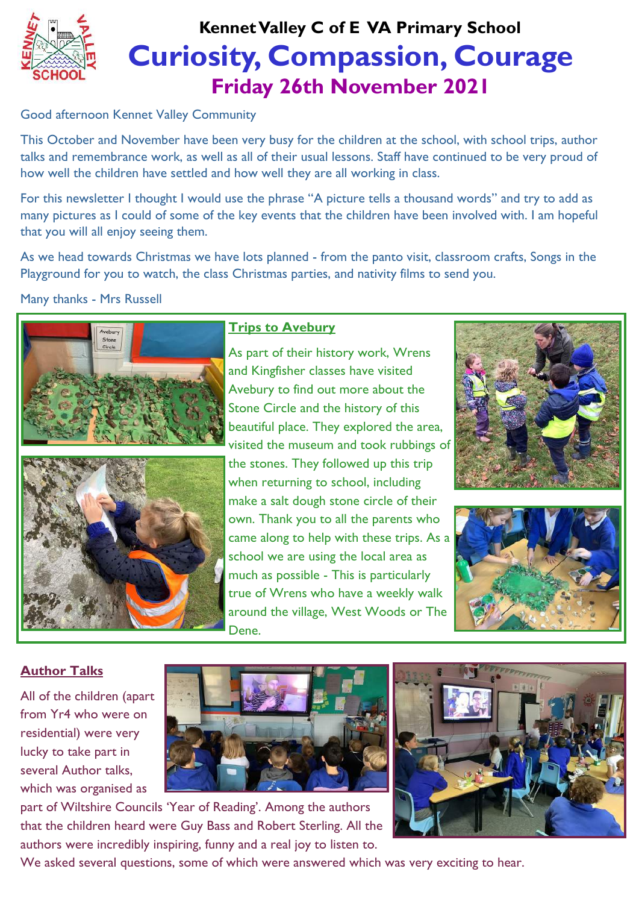

# **Curiosity, Compassion, Courage Friday 26th November 2021 Kennet Valley C of E VA Primary School**

### Good afternoon Kennet Valley Community

This October and November have been very busy for the children at the school, with school trips, author talks and remembrance work, as well as all of their usual lessons. Staff have continued to be very proud of how well the children have settled and how well they are all working in class.

For this newsletter I thought I would use the phrase "A picture tells a thousand words" and try to add as many pictures as I could of some of the key events that the children have been involved with. I am hopeful that you will all enjoy seeing them.

As we head towards Christmas we have lots planned - from the panto visit, classroom crafts, Songs in the Playground for you to watch, the class Christmas parties, and nativity films to send you.

## Many thanks - Mrs Russell



## **Trips to Avebury**

As part of their history work, Wrens and Kingfisher classes have visited Avebury to find out more about the Stone Circle and the history of this beautiful place. They explored the area, visited the museum and took rubbings of the stones. They followed up this trip when returning to school, including make a salt dough stone circle of their own. Thank you to all the parents who came along to help with these trips. As a school we are using the local area as much as possible - This is particularly true of Wrens who have a weekly walk around the village, West Woods or The Dene.





# **Author Talks**

All of the children (apart from Yr4 who were on residential) were very lucky to take part in several Author talks, which was organised as



part of Wiltshire Councils 'Year of Reading'. Among the authors that the children heard were Guy Bass and Robert Sterling. All the authors were incredibly inspiring, funny and a real joy to listen to.

We asked several questions, some of which were answered which was very exciting to hear.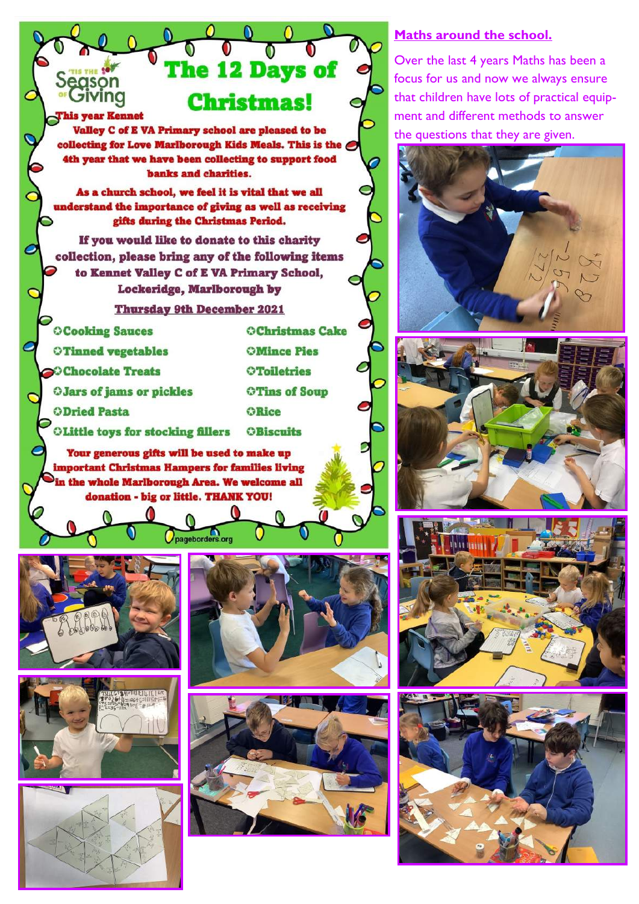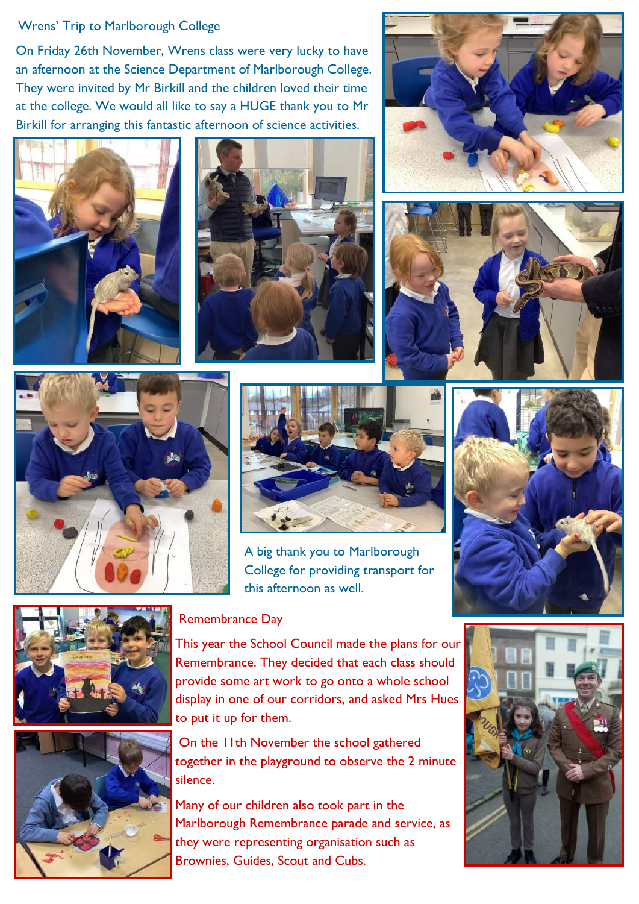#### Wrens' Trip to Marlborough College

On Friday 26th November, Wrens class were very lucky to have an afternoon at the Science Department of Marlborough College. They were invited by Mr Birkill and the children loved their time at the college. We would all like to say a HUGE thank you to Mr Birkill for arranging this fantastic afternoon of science activities.













A big thank you to Marlborough College for providing transport for this afternoon as well.





#### Remembrance Day

This year the School Council made the plans for our Remembrance. They decided that each class should provide some art work to go onto a whole school display in one of our corridors, and asked Mrs Hues to put it up for them.

On the 11th November the school gathered together in the playground to observe the 2 minute silence.

Many of our children also took part in the Marlborough Remembrance parade and service, as they were representing organisation such as Brownies, Guides, Scout and Cubs.